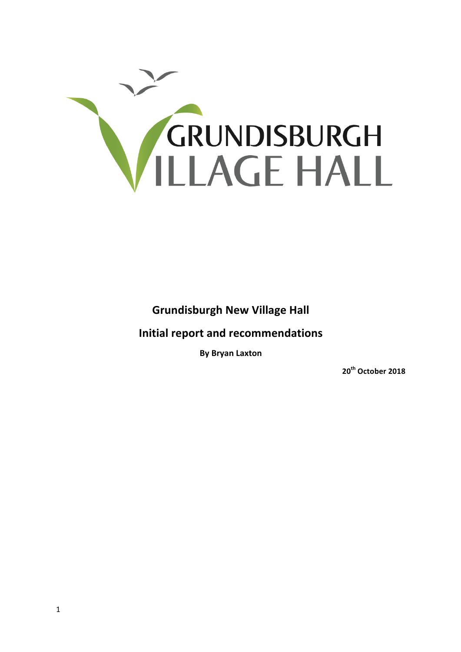

**Grundisburgh New Village Hall** 

**Initial report and recommendations** 

**By Bryan Laxton**

**20th October 2018**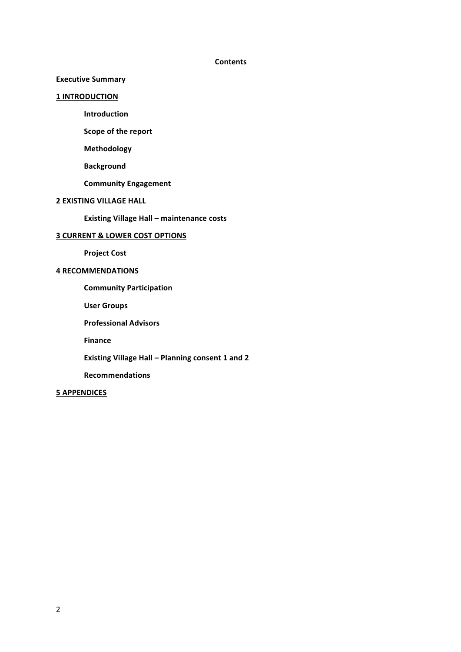#### **Contents**

# **Executive Summary**

#### **1 INTRODUCTION**

**Introduction**

**Scope of the report** 

**Methodology**

**Background**

**Community Engagement**

# **2 EXISTING VILLAGE HALL**

**Existing Village Hall – maintenance costs** 

# **3 CURRENT & LOWER COST OPTIONS**

**Project Cost**

# **4 RECOMMENDATIONS**

**Community Participation**

**User Groups**

**Professional Advisors**

**Finance**

**Existing Village Hall - Planning consent 1 and 2** 

**Recommendations**

## **5 APPENDICES**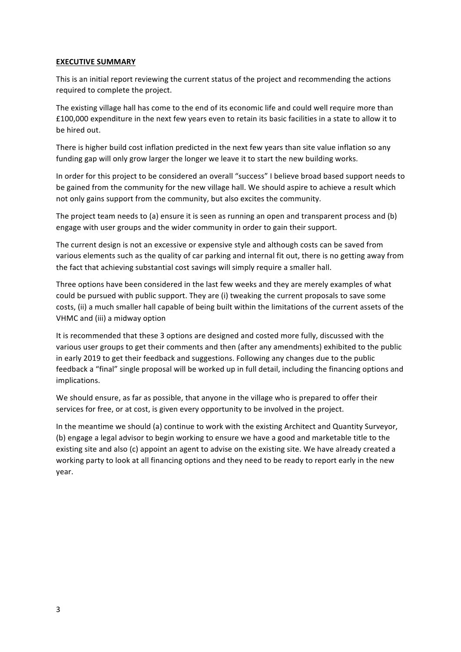## **EXECUTIVE SUMMARY**

This is an initial report reviewing the current status of the project and recommending the actions required to complete the project.

The existing village hall has come to the end of its economic life and could well require more than £100,000 expenditure in the next few years even to retain its basic facilities in a state to allow it to be hired out.

There is higher build cost inflation predicted in the next few years than site value inflation so any funding gap will only grow larger the longer we leave it to start the new building works.

In order for this project to be considered an overall "success" I believe broad based support needs to be gained from the community for the new village hall. We should aspire to achieve a result which not only gains support from the community, but also excites the community.

The project team needs to (a) ensure it is seen as running an open and transparent process and (b) engage with user groups and the wider community in order to gain their support.

The current design is not an excessive or expensive style and although costs can be saved from various elements such as the quality of car parking and internal fit out, there is no getting away from the fact that achieving substantial cost savings will simply require a smaller hall.

Three options have been considered in the last few weeks and they are merely examples of what could be pursued with public support. They are (i) tweaking the current proposals to save some costs, (ii) a much smaller hall capable of being built within the limitations of the current assets of the VHMC and (iii) a midway option

It is recommended that these 3 options are designed and costed more fully, discussed with the various user groups to get their comments and then (after any amendments) exhibited to the public in early 2019 to get their feedback and suggestions. Following any changes due to the public feedback a "final" single proposal will be worked up in full detail, including the financing options and implications.

We should ensure, as far as possible, that anyone in the village who is prepared to offer their services for free, or at cost, is given every opportunity to be involved in the project.

In the meantime we should (a) continue to work with the existing Architect and Quantity Surveyor, (b) engage a legal advisor to begin working to ensure we have a good and marketable title to the existing site and also (c) appoint an agent to advise on the existing site. We have already created a working party to look at all financing options and they need to be ready to report early in the new year.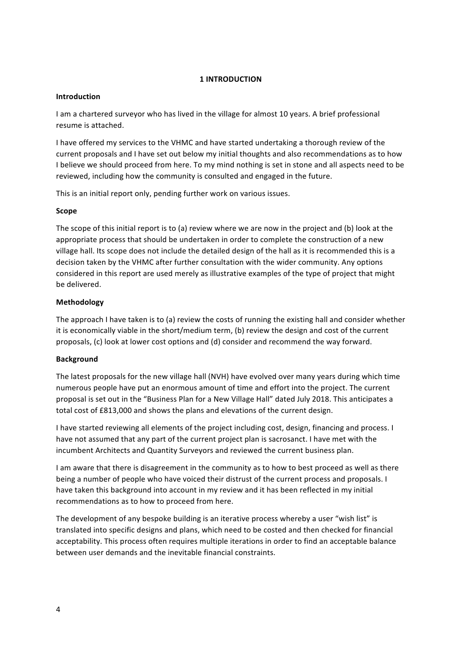# **1 INTRODUCTION**

#### **Introduction**

I am a chartered surveyor who has lived in the village for almost 10 years. A brief professional resume is attached.

I have offered my services to the VHMC and have started undertaking a thorough review of the current proposals and I have set out below my initial thoughts and also recommendations as to how I believe we should proceed from here. To my mind nothing is set in stone and all aspects need to be reviewed, including how the community is consulted and engaged in the future.

This is an initial report only, pending further work on various issues.

#### **Scope**

The scope of this initial report is to (a) review where we are now in the project and (b) look at the appropriate process that should be undertaken in order to complete the construction of a new village hall. Its scope does not include the detailed design of the hall as it is recommended this is a decision taken by the VHMC after further consultation with the wider community. Any options considered in this report are used merely as illustrative examples of the type of project that might be delivered.

#### **Methodology**

The approach I have taken is to (a) review the costs of running the existing hall and consider whether it is economically viable in the short/medium term, (b) review the design and cost of the current proposals, (c) look at lower cost options and (d) consider and recommend the way forward.

#### **Background**

The latest proposals for the new village hall (NVH) have evolved over many years during which time numerous people have put an enormous amount of time and effort into the project. The current proposal is set out in the "Business Plan for a New Village Hall" dated July 2018. This anticipates a total cost of £813,000 and shows the plans and elevations of the current design.

I have started reviewing all elements of the project including cost, design, financing and process. I have not assumed that any part of the current project plan is sacrosanct. I have met with the incumbent Architects and Quantity Surveyors and reviewed the current business plan.

I am aware that there is disagreement in the community as to how to best proceed as well as there being a number of people who have voiced their distrust of the current process and proposals. I have taken this background into account in my review and it has been reflected in my initial recommendations as to how to proceed from here.

The development of any bespoke building is an iterative process whereby a user "wish list" is translated into specific designs and plans, which need to be costed and then checked for financial acceptability. This process often requires multiple iterations in order to find an acceptable balance between user demands and the inevitable financial constraints.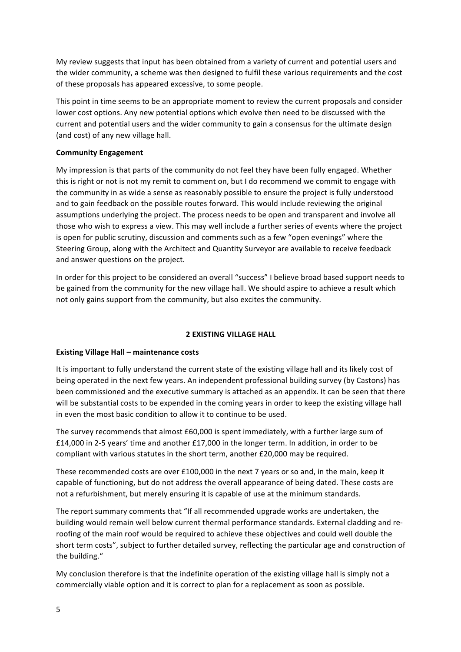My review suggests that input has been obtained from a variety of current and potential users and the wider community, a scheme was then designed to fulfil these various requirements and the cost of these proposals has appeared excessive, to some people.

This point in time seems to be an appropriate moment to review the current proposals and consider lower cost options. Any new potential options which evolve then need to be discussed with the current and potential users and the wider community to gain a consensus for the ultimate design (and cost) of any new village hall.

#### **Community Engagement**

My impression is that parts of the community do not feel they have been fully engaged. Whether this is right or not is not my remit to comment on, but I do recommend we commit to engage with the community in as wide a sense as reasonably possible to ensure the project is fully understood and to gain feedback on the possible routes forward. This would include reviewing the original assumptions underlying the project. The process needs to be open and transparent and involve all those who wish to express a view. This may well include a further series of events where the project is open for public scrutiny, discussion and comments such as a few "open evenings" where the Steering Group, along with the Architect and Quantity Surveyor are available to receive feedback and answer questions on the project.

In order for this project to be considered an overall "success" I believe broad based support needs to be gained from the community for the new village hall. We should aspire to achieve a result which not only gains support from the community, but also excites the community.

#### **2 EXISTING VILLAGE HALL**

#### **Existing Village Hall – maintenance costs**

It is important to fully understand the current state of the existing village hall and its likely cost of being operated in the next few years. An independent professional building survey (by Castons) has been commissioned and the executive summary is attached as an appendix. It can be seen that there will be substantial costs to be expended in the coming years in order to keep the existing village hall in even the most basic condition to allow it to continue to be used.

The survey recommends that almost  $£60,000$  is spent immediately, with a further large sum of £14,000 in 2-5 years' time and another £17,000 in the longer term. In addition, in order to be compliant with various statutes in the short term, another £20,000 may be required.

These recommended costs are over £100,000 in the next 7 years or so and, in the main, keep it capable of functioning, but do not address the overall appearance of being dated. These costs are not a refurbishment, but merely ensuring it is capable of use at the minimum standards.

The report summary comments that "If all recommended upgrade works are undertaken, the building would remain well below current thermal performance standards. External cladding and reroofing of the main roof would be required to achieve these objectives and could well double the short term costs", subject to further detailed survey, reflecting the particular age and construction of the building."

My conclusion therefore is that the indefinite operation of the existing village hall is simply not a commercially viable option and it is correct to plan for a replacement as soon as possible.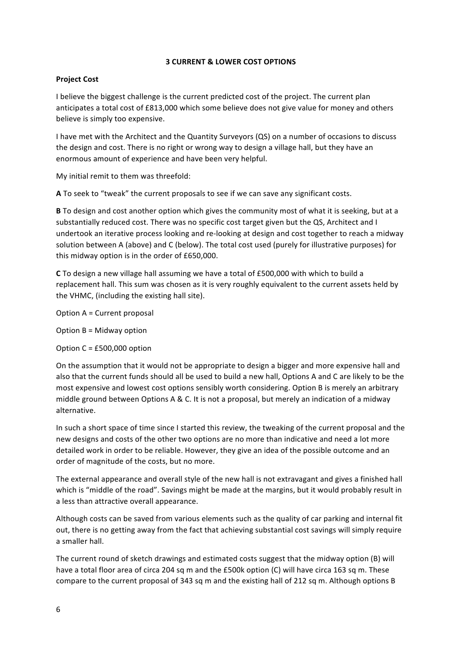## **3 CURRENT & LOWER COST OPTIONS**

# **Project Cost**

I believe the biggest challenge is the current predicted cost of the project. The current plan anticipates a total cost of £813,000 which some believe does not give value for money and others believe is simply too expensive.

I have met with the Architect and the Quantity Surveyors (QS) on a number of occasions to discuss the design and cost. There is no right or wrong way to design a village hall, but they have an enormous amount of experience and have been very helpful.

My initial remit to them was threefold:

**A** To seek to "tweak" the current proposals to see if we can save any significant costs.

**B** To design and cost another option which gives the community most of what it is seeking, but at a substantially reduced cost. There was no specific cost target given but the QS, Architect and I undertook an iterative process looking and re-looking at design and cost together to reach a midway solution between A (above) and C (below). The total cost used (purely for illustrative purposes) for this midway option is in the order of £650,000.

**C** To design a new village hall assuming we have a total of £500,000 with which to build a replacement hall. This sum was chosen as it is very roughly equivalent to the current assets held by the VHMC, (including the existing hall site).

Option  $A =$  Current proposal

Option  $B = Midway$  option

Option  $C = £500,000$  option

On the assumption that it would not be appropriate to design a bigger and more expensive hall and also that the current funds should all be used to build a new hall, Options A and C are likely to be the most expensive and lowest cost options sensibly worth considering. Option B is merely an arbitrary middle ground between Options A & C. It is not a proposal, but merely an indication of a midway alternative.

In such a short space of time since I started this review, the tweaking of the current proposal and the new designs and costs of the other two options are no more than indicative and need a lot more detailed work in order to be reliable. However, they give an idea of the possible outcome and an order of magnitude of the costs, but no more.

The external appearance and overall style of the new hall is not extravagant and gives a finished hall which is "middle of the road". Savings might be made at the margins, but it would probably result in a less than attractive overall appearance.

Although costs can be saved from various elements such as the quality of car parking and internal fit out, there is no getting away from the fact that achieving substantial cost savings will simply require a smaller hall.

The current round of sketch drawings and estimated costs suggest that the midway option (B) will have a total floor area of circa 204 sq m and the £500k option (C) will have circa 163 sq m. These compare to the current proposal of 343 sq m and the existing hall of 212 sq m. Although options B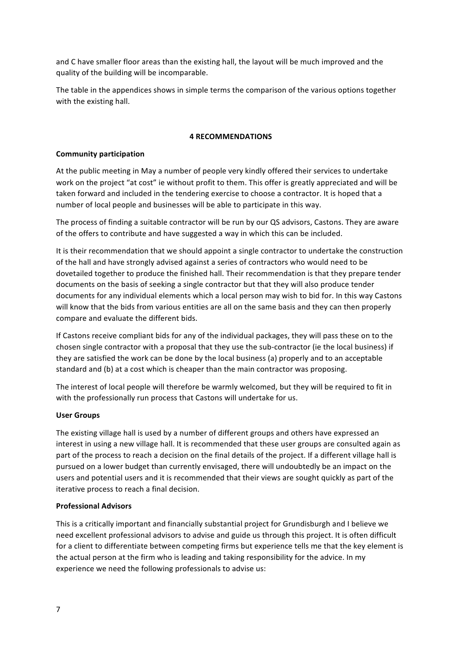and C have smaller floor areas than the existing hall, the layout will be much improved and the quality of the building will be incomparable.

The table in the appendices shows in simple terms the comparison of the various options together with the existing hall.

## **4 RECOMMENDATIONS**

# **Community participation**

At the public meeting in May a number of people very kindly offered their services to undertake work on the project "at cost" ie without profit to them. This offer is greatly appreciated and will be taken forward and included in the tendering exercise to choose a contractor. It is hoped that a number of local people and businesses will be able to participate in this way.

The process of finding a suitable contractor will be run by our QS advisors, Castons. They are aware of the offers to contribute and have suggested a way in which this can be included.

It is their recommendation that we should appoint a single contractor to undertake the construction of the hall and have strongly advised against a series of contractors who would need to be dovetailed together to produce the finished hall. Their recommendation is that they prepare tender documents on the basis of seeking a single contractor but that they will also produce tender documents for any individual elements which a local person may wish to bid for. In this way Castons will know that the bids from various entities are all on the same basis and they can then properly compare and evaluate the different bids.

If Castons receive compliant bids for any of the individual packages, they will pass these on to the chosen single contractor with a proposal that they use the sub-contractor (ie the local business) if they are satisfied the work can be done by the local business (a) properly and to an acceptable standard and (b) at a cost which is cheaper than the main contractor was proposing.

The interest of local people will therefore be warmly welcomed, but they will be required to fit in with the professionally run process that Castons will undertake for us.

## **User Groups**

The existing village hall is used by a number of different groups and others have expressed an interest in using a new village hall. It is recommended that these user groups are consulted again as part of the process to reach a decision on the final details of the project. If a different village hall is pursued on a lower budget than currently envisaged, there will undoubtedly be an impact on the users and potential users and it is recommended that their views are sought quickly as part of the iterative process to reach a final decision.

## **Professional Advisors**

This is a critically important and financially substantial project for Grundisburgh and I believe we need excellent professional advisors to advise and guide us through this project. It is often difficult for a client to differentiate between competing firms but experience tells me that the key element is the actual person at the firm who is leading and taking responsibility for the advice. In my experience we need the following professionals to advise us: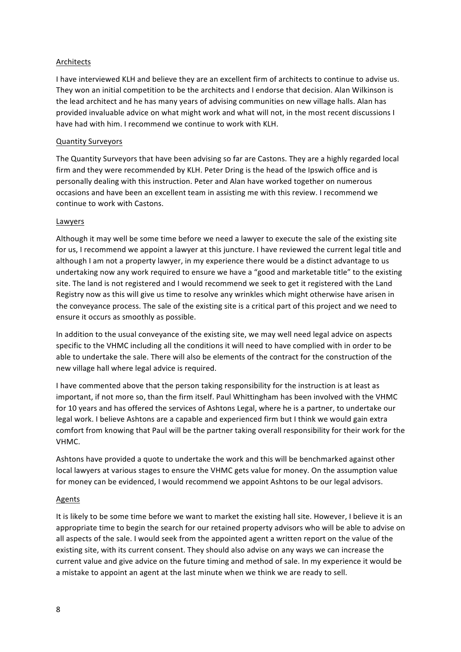# **Architects**

I have interviewed KLH and believe they are an excellent firm of architects to continue to advise us. They won an initial competition to be the architects and I endorse that decision. Alan Wilkinson is the lead architect and he has many years of advising communities on new village halls. Alan has provided invaluable advice on what might work and what will not, in the most recent discussions I have had with him. I recommend we continue to work with KLH.

# Quantity Surveyors

The Quantity Surveyors that have been advising so far are Castons. They are a highly regarded local firm and they were recommended by KLH. Peter Dring is the head of the Ipswich office and is personally dealing with this instruction. Peter and Alan have worked together on numerous occasions and have been an excellent team in assisting me with this review. I recommend we continue to work with Castons.

## Lawyers

Although it may well be some time before we need a lawyer to execute the sale of the existing site for us, I recommend we appoint a lawyer at this juncture. I have reviewed the current legal title and although I am not a property lawyer, in my experience there would be a distinct advantage to us undertaking now any work required to ensure we have a "good and marketable title" to the existing site. The land is not registered and I would recommend we seek to get it registered with the Land Registry now as this will give us time to resolve any wrinkles which might otherwise have arisen in the conveyance process. The sale of the existing site is a critical part of this project and we need to ensure it occurs as smoothly as possible.

In addition to the usual conveyance of the existing site, we may well need legal advice on aspects specific to the VHMC including all the conditions it will need to have complied with in order to be able to undertake the sale. There will also be elements of the contract for the construction of the new village hall where legal advice is required.

I have commented above that the person taking responsibility for the instruction is at least as important, if not more so, than the firm itself. Paul Whittingham has been involved with the VHMC for 10 years and has offered the services of Ashtons Legal, where he is a partner, to undertake our legal work. I believe Ashtons are a capable and experienced firm but I think we would gain extra comfort from knowing that Paul will be the partner taking overall responsibility for their work for the VHMC. 

Ashtons have provided a quote to undertake the work and this will be benchmarked against other local lawyers at various stages to ensure the VHMC gets value for money. On the assumption value for money can be evidenced, I would recommend we appoint Ashtons to be our legal advisors.

## Agents

It is likely to be some time before we want to market the existing hall site. However, I believe it is an appropriate time to begin the search for our retained property advisors who will be able to advise on all aspects of the sale. I would seek from the appointed agent a written report on the value of the existing site, with its current consent. They should also advise on any ways we can increase the current value and give advice on the future timing and method of sale. In my experience it would be a mistake to appoint an agent at the last minute when we think we are ready to sell.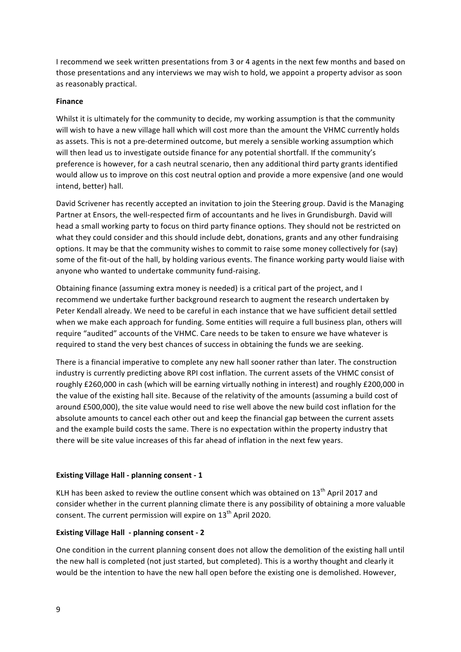I recommend we seek written presentations from 3 or 4 agents in the next few months and based on those presentations and any interviews we may wish to hold, we appoint a property advisor as soon as reasonably practical.

#### **Finance**

Whilst it is ultimately for the community to decide, my working assumption is that the community will wish to have a new village hall which will cost more than the amount the VHMC currently holds as assets. This is not a pre-determined outcome, but merely a sensible working assumption which will then lead us to investigate outside finance for any potential shortfall. If the community's preference is however, for a cash neutral scenario, then any additional third party grants identified would allow us to improve on this cost neutral option and provide a more expensive (and one would intend, better) hall.

David Scrivener has recently accepted an invitation to join the Steering group. David is the Managing Partner at Ensors, the well-respected firm of accountants and he lives in Grundisburgh. David will head a small working party to focus on third party finance options. They should not be restricted on what they could consider and this should include debt, donations, grants and any other fundraising options. It may be that the community wishes to commit to raise some money collectively for (say) some of the fit-out of the hall, by holding various events. The finance working party would liaise with anyone who wanted to undertake community fund-raising.

Obtaining finance (assuming extra money is needed) is a critical part of the project, and I recommend we undertake further background research to augment the research undertaken by Peter Kendall already. We need to be careful in each instance that we have sufficient detail settled when we make each approach for funding. Some entities will require a full business plan, others will require "audited" accounts of the VHMC. Care needs to be taken to ensure we have whatever is required to stand the very best chances of success in obtaining the funds we are seeking.

There is a financial imperative to complete any new hall sooner rather than later. The construction industry is currently predicting above RPI cost inflation. The current assets of the VHMC consist of roughly £260,000 in cash (which will be earning virtually nothing in interest) and roughly £200,000 in the value of the existing hall site. Because of the relativity of the amounts (assuming a build cost of around £500,000), the site value would need to rise well above the new build cost inflation for the absolute amounts to cancel each other out and keep the financial gap between the current assets and the example build costs the same. There is no expectation within the property industry that there will be site value increases of this far ahead of inflation in the next few years.

## **Existing Village Hall - planning consent - 1**

KLH has been asked to review the outline consent which was obtained on  $13^{th}$  April 2017 and consider whether in the current planning climate there is any possibility of obtaining a more valuable consent. The current permission will expire on  $13<sup>th</sup>$  April 2020.

## **Existing Village Hall - planning consent - 2**

One condition in the current planning consent does not allow the demolition of the existing hall until the new hall is completed (not just started, but completed). This is a worthy thought and clearly it would be the intention to have the new hall open before the existing one is demolished. However,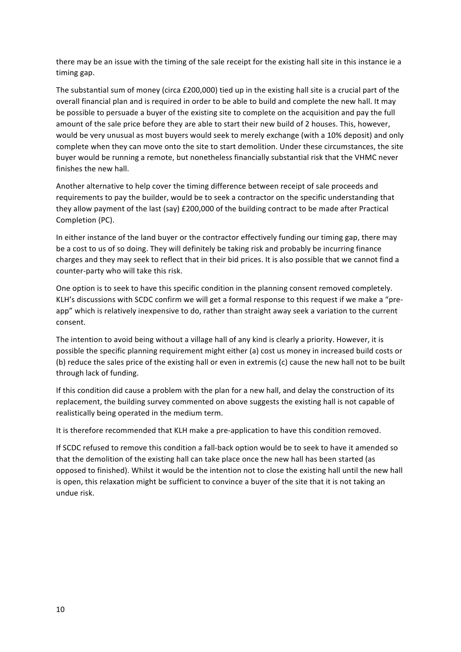there may be an issue with the timing of the sale receipt for the existing hall site in this instance ie a timing gap.

The substantial sum of money (circa £200,000) tied up in the existing hall site is a crucial part of the overall financial plan and is required in order to be able to build and complete the new hall. It may be possible to persuade a buyer of the existing site to complete on the acquisition and pay the full amount of the sale price before they are able to start their new build of 2 houses. This, however, would be very unusual as most buyers would seek to merely exchange (with a 10% deposit) and only complete when they can move onto the site to start demolition. Under these circumstances, the site buyer would be running a remote, but nonetheless financially substantial risk that the VHMC never finishes the new hall.

Another alternative to help cover the timing difference between receipt of sale proceeds and requirements to pay the builder, would be to seek a contractor on the specific understanding that they allow payment of the last (say) £200,000 of the building contract to be made after Practical Completion (PC). 

In either instance of the land buyer or the contractor effectively funding our timing gap, there may be a cost to us of so doing. They will definitely be taking risk and probably be incurring finance charges and they may seek to reflect that in their bid prices. It is also possible that we cannot find a counter-party who will take this risk.

One option is to seek to have this specific condition in the planning consent removed completely. KLH's discussions with SCDC confirm we will get a formal response to this request if we make a "preapp" which is relatively inexpensive to do, rather than straight away seek a variation to the current consent.

The intention to avoid being without a village hall of any kind is clearly a priority. However, it is possible the specific planning requirement might either (a) cost us money in increased build costs or (b) reduce the sales price of the existing hall or even in extremis (c) cause the new hall not to be built through lack of funding.

If this condition did cause a problem with the plan for a new hall, and delay the construction of its replacement, the building survey commented on above suggests the existing hall is not capable of realistically being operated in the medium term.

It is therefore recommended that KLH make a pre-application to have this condition removed.

If SCDC refused to remove this condition a fall-back option would be to seek to have it amended so that the demolition of the existing hall can take place once the new hall has been started (as opposed to finished). Whilst it would be the intention not to close the existing hall until the new hall is open, this relaxation might be sufficient to convince a buyer of the site that it is not taking an undue risk.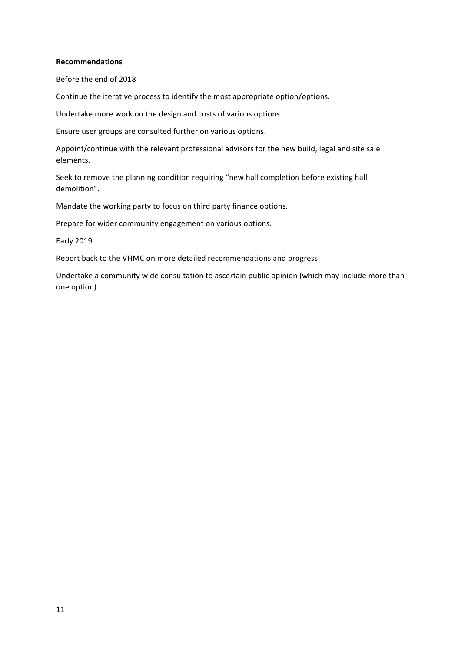#### **Recommendations**

#### Before the end of 2018

Continue the iterative process to identify the most appropriate option/options.

Undertake more work on the design and costs of various options.

Ensure user groups are consulted further on various options.

Appoint/continue with the relevant professional advisors for the new build, legal and site sale elements.

Seek to remove the planning condition requiring "new hall completion before existing hall demolition".

Mandate the working party to focus on third party finance options.

Prepare for wider community engagement on various options.

#### Early 2019

Report back to the VHMC on more detailed recommendations and progress

Undertake a community wide consultation to ascertain public opinion (which may include more than one option)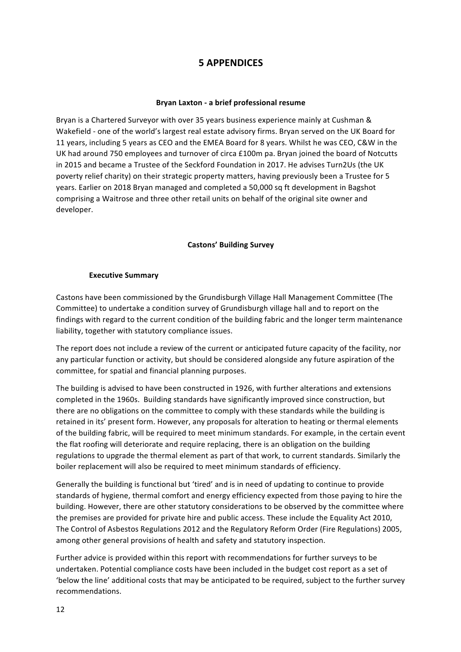# **5 APPENDICES**

## **Bryan Laxton - a brief professional resume**

Bryan is a Chartered Surveyor with over 35 years business experience mainly at Cushman & Wakefield - one of the world's largest real estate advisory firms. Bryan served on the UK Board for 11 years, including 5 years as CEO and the EMEA Board for 8 years. Whilst he was CEO, C&W in the UK had around 750 employees and turnover of circa £100m pa. Bryan joined the board of Notcutts in 2015 and became a Trustee of the Seckford Foundation in 2017. He advises Turn2Us (the UK poverty relief charity) on their strategic property matters, having previously been a Trustee for 5 years. Earlier on 2018 Bryan managed and completed a 50,000 sq ft development in Bagshot comprising a Waitrose and three other retail units on behalf of the original site owner and developer.

# **Castons' Building Survey**

## **Executive Summary**

Castons have been commissioned by the Grundisburgh Village Hall Management Committee (The Committee) to undertake a condition survey of Grundisburgh village hall and to report on the findings with regard to the current condition of the building fabric and the longer term maintenance liability, together with statutory compliance issues.

The report does not include a review of the current or anticipated future capacity of the facility, nor any particular function or activity, but should be considered alongside any future aspiration of the committee, for spatial and financial planning purposes.

The building is advised to have been constructed in 1926, with further alterations and extensions completed in the 1960s. Building standards have significantly improved since construction, but there are no obligations on the committee to comply with these standards while the building is retained in its' present form. However, any proposals for alteration to heating or thermal elements of the building fabric, will be required to meet minimum standards. For example, in the certain event the flat roofing will deteriorate and require replacing, there is an obligation on the building regulations to upgrade the thermal element as part of that work, to current standards. Similarly the boiler replacement will also be required to meet minimum standards of efficiency.

Generally the building is functional but 'tired' and is in need of updating to continue to provide standards of hygiene, thermal comfort and energy efficiency expected from those paying to hire the building. However, there are other statutory considerations to be observed by the committee where the premises are provided for private hire and public access. These include the Equality Act 2010, The Control of Asbestos Regulations 2012 and the Regulatory Reform Order (Fire Regulations) 2005, among other general provisions of health and safety and statutory inspection.

Further advice is provided within this report with recommendations for further surveys to be undertaken. Potential compliance costs have been included in the budget cost report as a set of 'below the line' additional costs that may be anticipated to be required, subject to the further survey recommendations.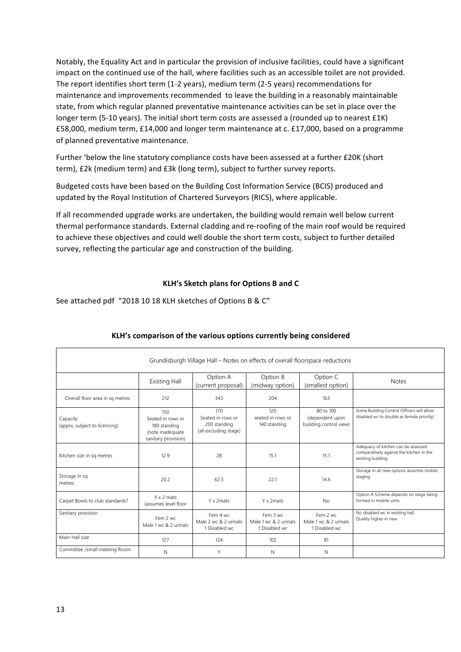Notably, the Equality Act and in particular the provision of inclusive facilities, could have a significant impact on the continued use of the hall, where facilities such as an accessible toilet are not provided. The report identifies short term  $(1-2 \text{ years})$ , medium term  $(2-5 \text{ years})$  recommendations for maintenance and improvements recommended to leave the building in a reasonably maintainable state, from which regular planned preventative maintenance activities can be set in place over the longer term (5-10 years). The initial short term costs are assessed a (rounded up to nearest £1K) £58,000, medium term, £14,000 and longer term maintenance at c. £17,000, based on a programme of planned preventative maintenance.

Further 'below the line statutory compliance costs have been assessed at a further £20K (short term), £2k (medium term) and £3k (long term), subject to further survey reports.

Budgeted costs have been based on the Building Cost Information Service (BCIS) produced and updated by the Royal Institution of Chartered Surveyors (RICS), where applicable.

If all recommended upgrade works are undertaken, the building would remain well below current thermal performance standards. External cladding and re-roofing of the main roof would be required to achieve these objectives and could well double the short term costs, subject to further detailed survey, reflecting the particular age and construction of the building.

# **KLH's Sketch plans for Options B and C**

See attached pdf "2018 10 18 KLH sketches of Options B & C"

| Grundisburgh Village Hall – Notes on effects of overall floorspace reductions |                                                                                     |                                                                   |                                                    |                                                        |                                                                                                       |
|-------------------------------------------------------------------------------|-------------------------------------------------------------------------------------|-------------------------------------------------------------------|----------------------------------------------------|--------------------------------------------------------|-------------------------------------------------------------------------------------------------------|
|                                                                               | <b>Existing Hall</b>                                                                | Option A<br>(current proposal)                                    | Option B<br>(midway option)                        | Option C<br>(smallest option)                          | <b>Notes</b>                                                                                          |
| Overall floor area in sq metres                                               | 212                                                                                 | 343                                                               | 204                                                | 163                                                    |                                                                                                       |
| Capacity<br>(apprx, subject to licencing)                                     | 150<br>Seated in rows or<br>180 standing<br>(note inadequate<br>sanitary provision) | 170<br>Seated in rows or<br>200 standing<br>(all excluding stage) | 120<br>seated in rows or<br>140 standing           | 80 to 100<br>(dependent upon<br>building control view) | Some Building Control Officers will allow<br>disabled wc to double as female priority)                |
| Kitchen size in sq metres                                                     | 12.9                                                                                | 28                                                                | 15.1                                               | 15.1                                                   | Adequacy of kitchen can be assessed<br>comparatively against the kitchen in the<br>existing building. |
| Storage in sq<br>metres                                                       | 20.2                                                                                | 62.5                                                              | 22.1                                               | 14.6                                                   | Storage in all new options assumes mobile<br>staging                                                  |
| Carpet Bowls to club standards?                                               | Y x 2 mats<br>(assumes level floor                                                  | Y x 2mats                                                         | Y x 2 mats                                         | <b>No</b>                                              | Option A Scheme depends on stage being<br>formed in mobile units                                      |
| Sanitary provision                                                            | Fem 2 wc<br>Male 1 wc & 2 urinals                                                   | Fem 4 wc<br>Male 2 wc & 2 urinals<br>1 Disabled wc                | Fem 3 wc<br>Male 1 wc & 2 urinals<br>1 Disabled wc | Fem 2 wc<br>Male 1 wc & 2 urinals<br>1 Disabled wc     | No disabled wc in existing hall.<br>Quality higher in new.                                            |
| Main Hall size                                                                | 127                                                                                 | 124                                                               | 102                                                | 81                                                     |                                                                                                       |
| Committee /small meeting Room                                                 | N                                                                                   | Y                                                                 | N                                                  | N                                                      |                                                                                                       |

# KLH's comparison of the various options currently being considered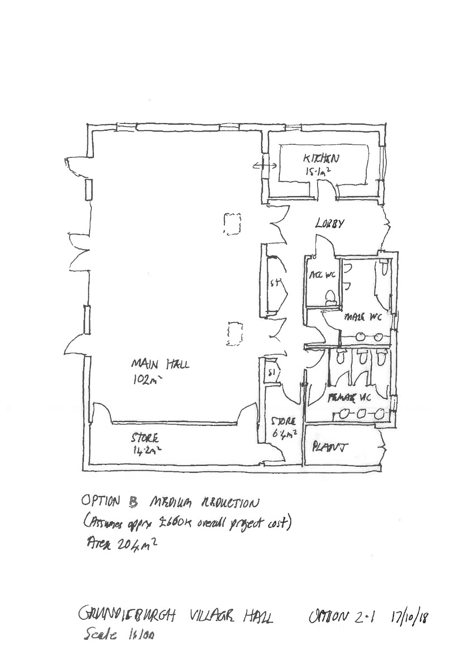

OPTION B MEDIUM REDUCTION (Pissumes appre 2660x oreall project cost) Aren 204m<sup>2</sup>

GRUNNIFBURGH VILLAGR HALL CRTION 2-1 17/10/18 Scale 16/00